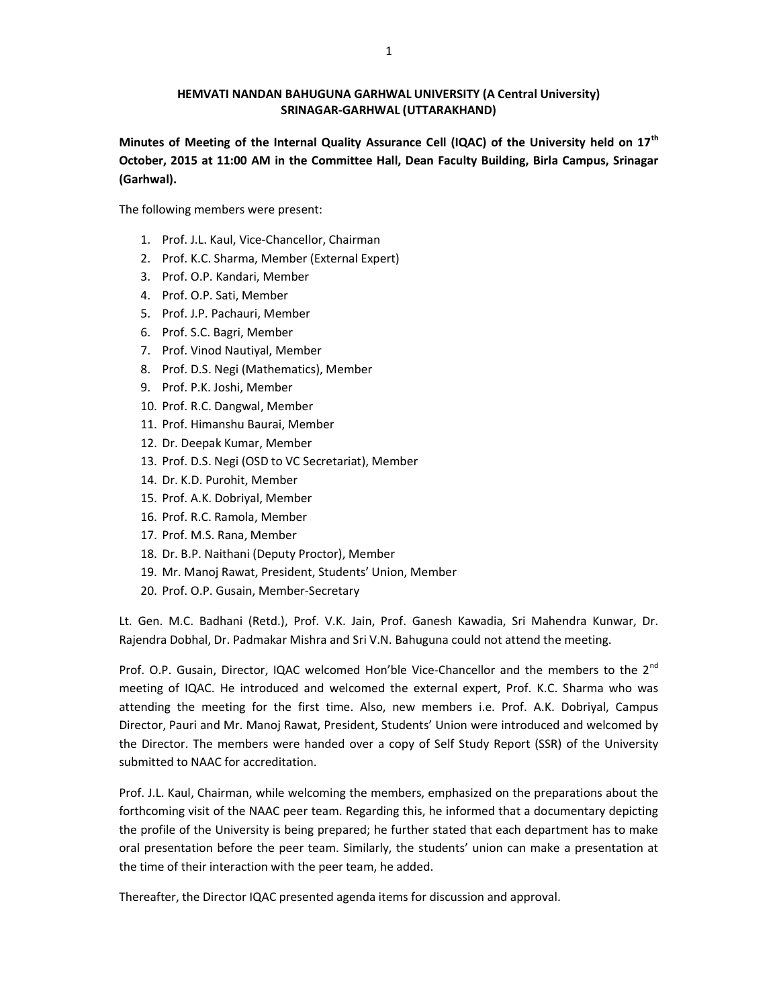### HEMVATI NANDAN BAHUGUNA GARHWAL UNIVERSITY (A Central University) SRINAGAR-GARHWAL (UTTARAKHAND)

Minutes of Meeting of the Internal Quality Assurance Cell (IQAC) of the University held on 17<sup>th</sup> October, 2015 at 11:00 AM in the Committee Hall, Dean Faculty Building, Birla Campus, Srinagar (Garhwal).

The following members were present:

- 1. Prof. J.L. Kaul, Vice-Chancellor, Chairman
- 2. Prof. K.C. Sharma, Member (External Expert)
- 3. Prof. O.P. Kandari, Member
- 4. Prof. O.P. Sati, Member
- 5. Prof. J.P. Pachauri, Member
- 6. Prof. S.C. Bagri, Member
- 7. Prof. Vinod Nautiyal, Member
- 8. Prof. D.S. Negi (Mathematics), Member
- 9. Prof. P.K. Joshi, Member
- 10. Prof. R.C. Dangwal, Member
- 11. Prof. Himanshu Baurai, Member
- 12. Dr. Deepak Kumar, Member
- 13. Prof. D.S. Negi (OSD to VC Secretariat), Member
- 14. Dr. K.D. Purohit, Member
- 15. Prof. A.K. Dobriyal, Member
- 16. Prof. R.C. Ramola, Member
- 17. Prof. M.S. Rana, Member
- 18. Dr. B.P. Naithani (Deputy Proctor), Member
- 19. Mr. Manoj Rawat, President, Students' Union, Member
- 20. Prof. O.P. Gusain, Member-Secretary

Lt. Gen. M.C. Badhani (Retd.), Prof. V.K. Jain, Prof. Ganesh Kawadia, Sri Mahendra Kunwar, Dr. Rajendra Dobhal, Dr. Padmakar Mishra and Sri V.N. Bahuguna could not attend the meeting.

Prof. O.P. Gusain, Director, IQAC welcomed Hon'ble Vice-Chancellor and the members to the 2<sup>nd</sup> meeting of IQAC. He introduced and welcomed the external expert, Prof. K.C. Sharma who was attending the meeting for the first time. Also, new members i.e. Prof. A.K. Dobriyal, Campus Director, Pauri and Mr. Manoj Rawat, President, Students' Union were introduced and welcomed by the Director. The members were handed over a copy of Self Study Report (SSR) of the University submitted to NAAC for accreditation.

Prof. J.L. Kaul, Chairman, while welcoming the members, emphasized on the preparations about the forthcoming visit of the NAAC peer team. Regarding this, he informed that a documentary depicting the profile of the University is being prepared; he further stated that each department has to make oral presentation before the peer team. Similarly, the students' union can make a presentation at the time of their interaction with the peer team, he added.

Thereafter, the Director IQAC presented agenda items for discussion and approval.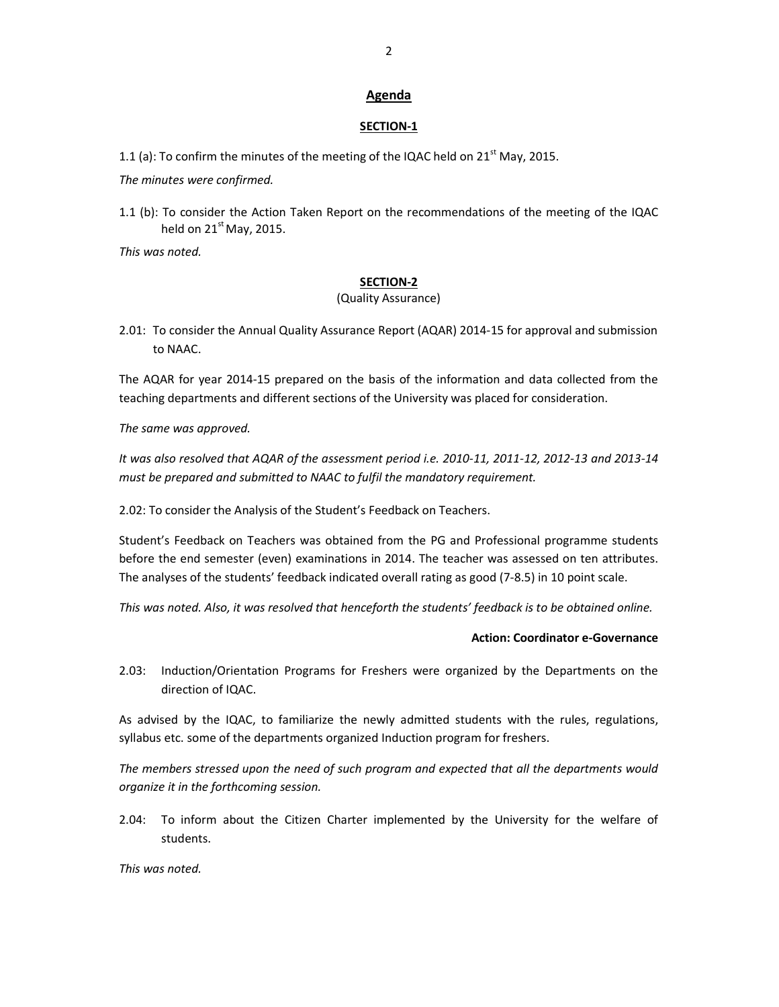### Agenda

#### SECTION-1

1.1 (a): To confirm the minutes of the meeting of the IQAC held on  $21<sup>st</sup>$  May, 2015.

The minutes were confirmed.

1.1 (b): To consider the Action Taken Report on the recommendations of the meeting of the IQAC held on  $21<sup>st</sup>$  May, 2015.

This was noted.

#### SECTION-2

### (Quality Assurance)

2.01: To consider the Annual Quality Assurance Report (AQAR) 2014-15 for approval and submission to NAAC.

The AQAR for year 2014-15 prepared on the basis of the information and data collected from the teaching departments and different sections of the University was placed for consideration.

The same was approved.

It was also resolved that AQAR of the assessment period i.e. 2010-11, 2011-12, 2012-13 and 2013-14 must be prepared and submitted to NAAC to fulfil the mandatory requirement.

2.02: To consider the Analysis of the Student's Feedback on Teachers.

Student's Feedback on Teachers was obtained from the PG and Professional programme students before the end semester (even) examinations in 2014. The teacher was assessed on ten attributes. The analyses of the students' feedback indicated overall rating as good (7-8.5) in 10 point scale.

This was noted. Also, it was resolved that henceforth the students' feedback is to be obtained online.

### Action: Coordinator e-Governance

2.03: Induction/Orientation Programs for Freshers were organized by the Departments on the direction of IQAC.

As advised by the IQAC, to familiarize the newly admitted students with the rules, regulations, syllabus etc. some of the departments organized Induction program for freshers.

The members stressed upon the need of such program and expected that all the departments would organize it in the forthcoming session.

2.04: To inform about the Citizen Charter implemented by the University for the welfare of students.

This was noted.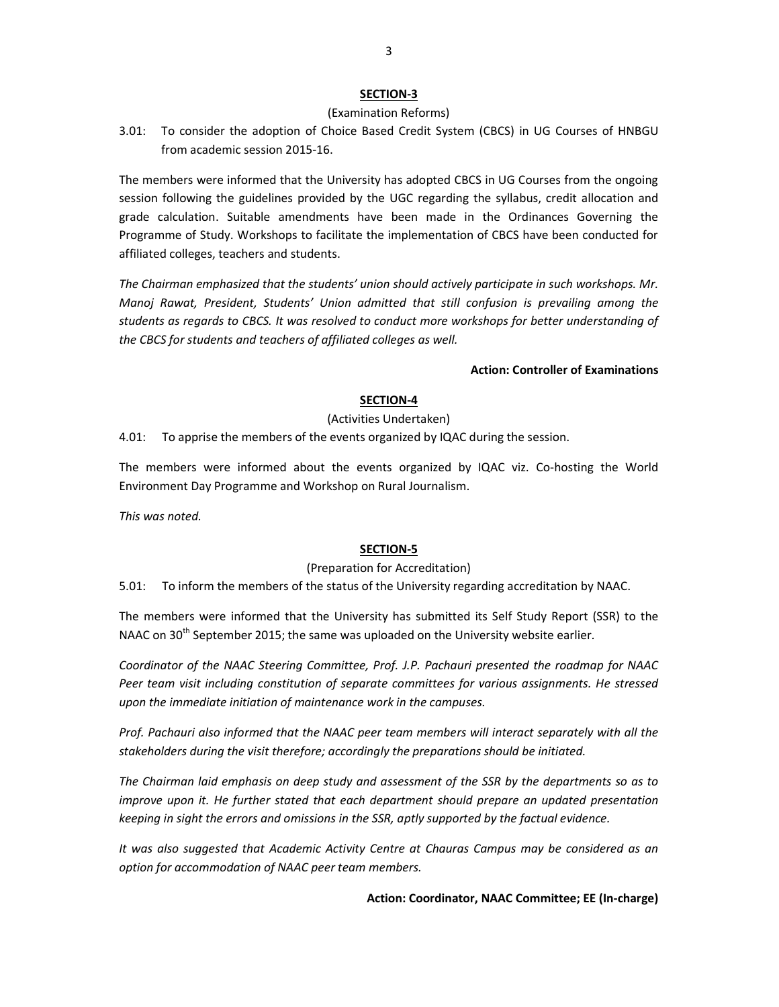### SECTION-3

## (Examination Reforms)

3.01: To consider the adoption of Choice Based Credit System (CBCS) in UG Courses of HNBGU from academic session 2015-16.

The members were informed that the University has adopted CBCS in UG Courses from the ongoing session following the guidelines provided by the UGC regarding the syllabus, credit allocation and grade calculation. Suitable amendments have been made in the Ordinances Governing the Programme of Study. Workshops to facilitate the implementation of CBCS have been conducted for affiliated colleges, teachers and students.

The Chairman emphasized that the students' union should actively participate in such workshops. Mr. Manoj Rawat, President, Students' Union admitted that still confusion is prevailing among the students as regards to CBCS. It was resolved to conduct more workshops for better understanding of the CBCS for students and teachers of affiliated colleges as well.

## Action: Controller of Examinations

# SECTION-4

## (Activities Undertaken)

4.01: To apprise the members of the events organized by IQAC during the session.

The members were informed about the events organized by IQAC viz. Co-hosting the World Environment Day Programme and Workshop on Rural Journalism.

This was noted.

## SECTION-5

## (Preparation for Accreditation)

5.01: To inform the members of the status of the University regarding accreditation by NAAC.

The members were informed that the University has submitted its Self Study Report (SSR) to the NAAC on 30<sup>th</sup> September 2015; the same was uploaded on the University website earlier.

Coordinator of the NAAC Steering Committee, Prof. J.P. Pachauri presented the roadmap for NAAC Peer team visit including constitution of separate committees for various assignments. He stressed upon the immediate initiation of maintenance work in the campuses.

Prof. Pachauri also informed that the NAAC peer team members will interact separately with all the stakeholders during the visit therefore; accordingly the preparations should be initiated.

The Chairman laid emphasis on deep study and assessment of the SSR by the departments so as to improve upon it. He further stated that each department should prepare an updated presentation keeping in sight the errors and omissions in the SSR, aptly supported by the factual evidence.

It was also suggested that Academic Activity Centre at Chauras Campus may be considered as an option for accommodation of NAAC peer team members.

Action: Coordinator, NAAC Committee; EE (In-charge)